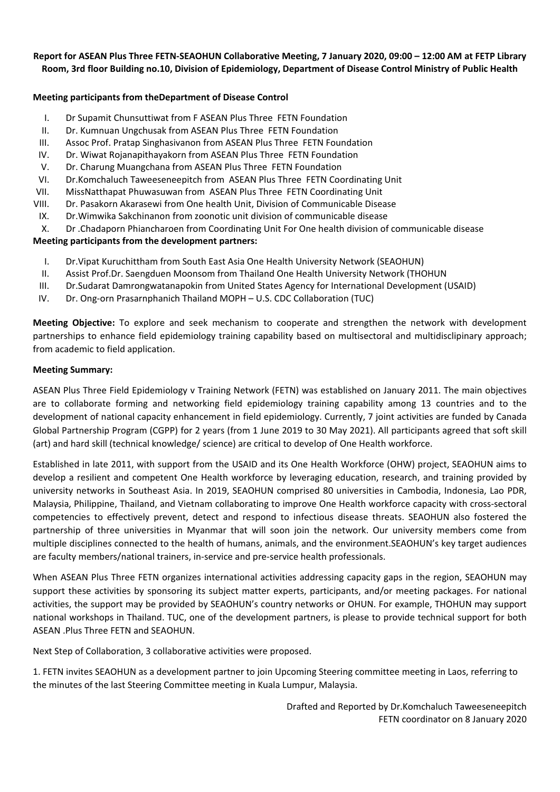### Report for ASEAN Plus Three FETN-SEAOHUN Collaborative Meeting, 7 January 2020, 09:00 - 12:00 AM at FETP Library Room, 3rd floor Building no.10, Division of Epidemiology, Department of Disease Control Ministry of Public Health

# **Meeting participants from theDepartment of Disease Control**

- I. Dr Supamit Chunsuttiwat from F ASEAN Plus Three FETN Foundation
- II. Dr. Kumnuan Ungchusak from ASEAN Plus Three FETN Foundation
- III. Assoc Prof. Pratap Singhasivanon from ASEAN Plus Three FETN Foundation
- IV. Dr. Wiwat Rojanapithayakorn from ASEAN Plus Three FETN Foundation
- V. Dr. Charung Muangchana from ASEAN Plus Three FETN Foundation
- VI. Dr.Komchaluch Taweeseneepitch from ASEAN Plus Three FETN Coordinating Unit
- VII. MissNatthapat Phuwasuwan from ASEAN Plus Three FETN Coordinating Unit
- VIII. Dr. Pasakorn Akarasewi from One health Unit, Division of Communicable Disease
- IX. Dr.Wimwika Sakchinanon from zoonotic unit division of communicable disease
- X. Dr .Chadaporn Phiancharoen from Coordinating Unit For One health division of communicable disease

## **Meeting participants from the development partners:**

- I. Dr.Vipat Kuruchittham from South East Asia One Health University Network (SEAOHUN)
- II. Assist Prof.Dr. Saengduen Moonsom from Thailand One Health University Network (THOHUN
- III. Dr.Sudarat Damrongwatanapokin from United States Agency for International Development (USAID)
- IV. Dr. Ong‐orn Prasarnphanich Thailand MOPH U.S. CDC Collaboration (TUC)

**Meeting Objective:** To explore and seek mechanism to cooperate and strengthen the network with development partnerships to enhance field epidemiology training capability based on multisectoral and multidisclipinary approach; from academic to field application.

#### **Meeting Summary:**

ASEAN Plus Three Field Epidemiology v Training Network (FETN) was established on January 2011. The main objectives are to collaborate forming and networking field epidemiology training capability among 13 countries and to the development of national capacity enhancement in field epidemiology. Currently, 7 joint activities are funded by Canada Global Partnership Program (CGPP) for 2 years (from 1 June 2019 to 30 May 2021). All participants agreed that soft skill (art) and hard skill (technical knowledge/ science) are critical to develop of One Health workforce.

Established in late 2011, with support from the USAID and its One Health Workforce (OHW) project, SEAOHUN aims to develop a resilient and competent One Health workforce by leveraging education, research, and training provided by university networks in Southeast Asia. In 2019, SEAOHUN comprised 80 universities in Cambodia, Indonesia, Lao PDR, Malaysia, Philippine, Thailand, and Vietnam collaborating to improve One Health workforce capacity with cross‐sectoral competencies to effectively prevent, detect and respond to infectious disease threats. SEAOHUN also fostered the partnership of three universities in Myanmar that will soon join the network. Our university members come from multiple disciplines connected to the health of humans, animals, and the environment.SEAOHUN's key target audiences are faculty members/national trainers, in‐service and pre‐service health professionals.

When ASEAN Plus Three FETN organizes international activities addressing capacity gaps in the region, SEAOHUN may support these activities by sponsoring its subject matter experts, participants, and/or meeting packages. For national activities, the support may be provided by SEAOHUN's country networks or OHUN. For example, THOHUN may support national workshops in Thailand. TUC, one of the development partners, is please to provide technical support for both ASEAN .Plus Three FETN and SEAOHUN.

Next Step of Collaboration, 3 collaborative activities were proposed.

1. FETN invites SEAOHUN as a development partner to join Upcoming Steering committee meeting in Laos, referring to the minutes of the last Steering Committee meeting in Kuala Lumpur, Malaysia.

> Drafted and Reported by Dr.Komchaluch Taweeseneepitch FETN coordinator on 8 January 2020